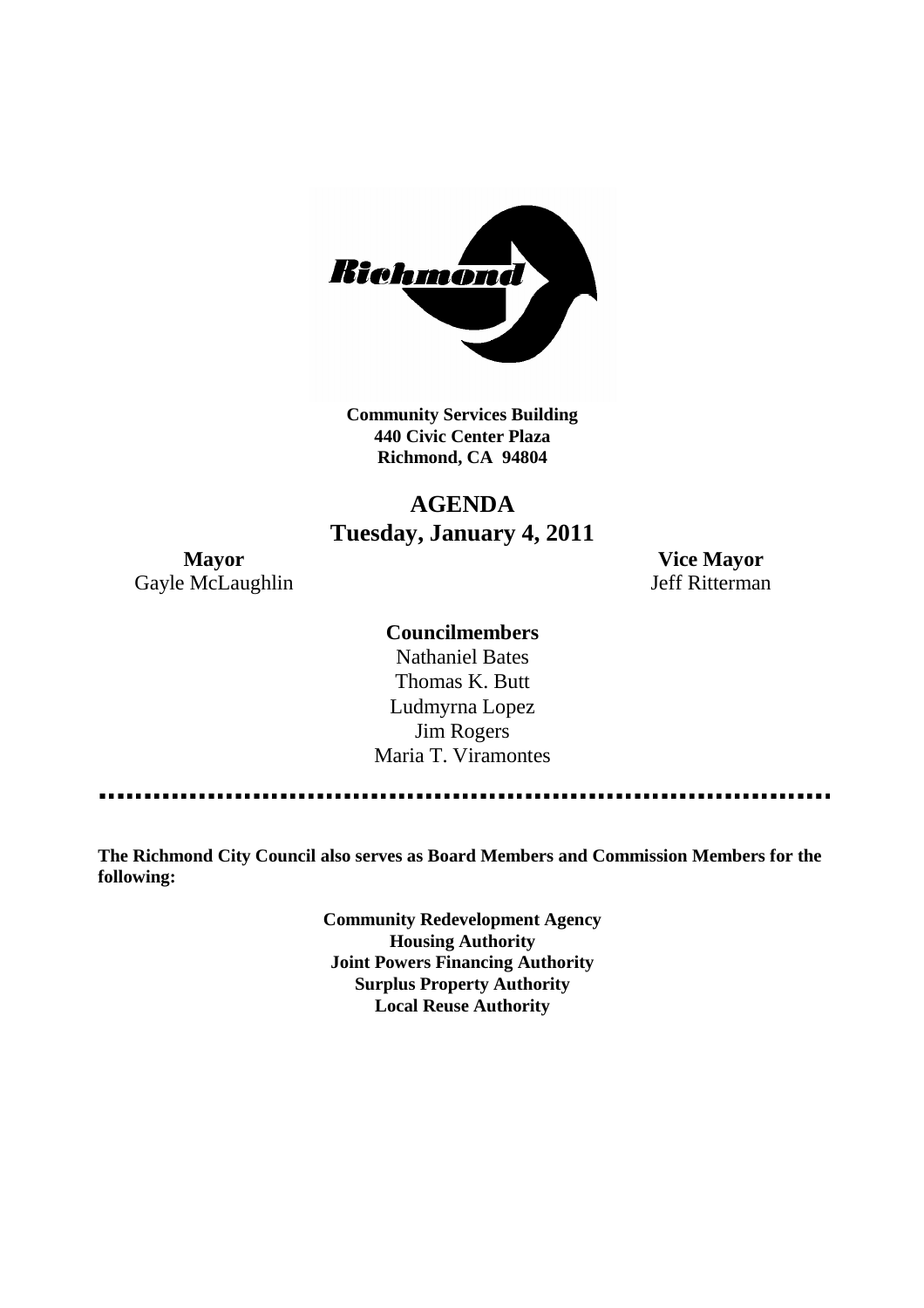

**Community Services Building 440 Civic Center Plaza Richmond, CA 94804**

# **AGENDA Tuesday, January 4, 2011**

Gayle McLaughlin Jeff Ritterman

**Mayor Vice Mayor**

#### **Councilmembers**

Nathaniel Bates Thomas K. Butt Ludmyrna Lopez Jim Rogers Maria T. Viramontes

**The Richmond City Council also serves as Board Members and Commission Members for the following:**

> **Community Redevelopment Agency Housing Authority Joint Powers Financing Authority Surplus Property Authority Local Reuse Authority**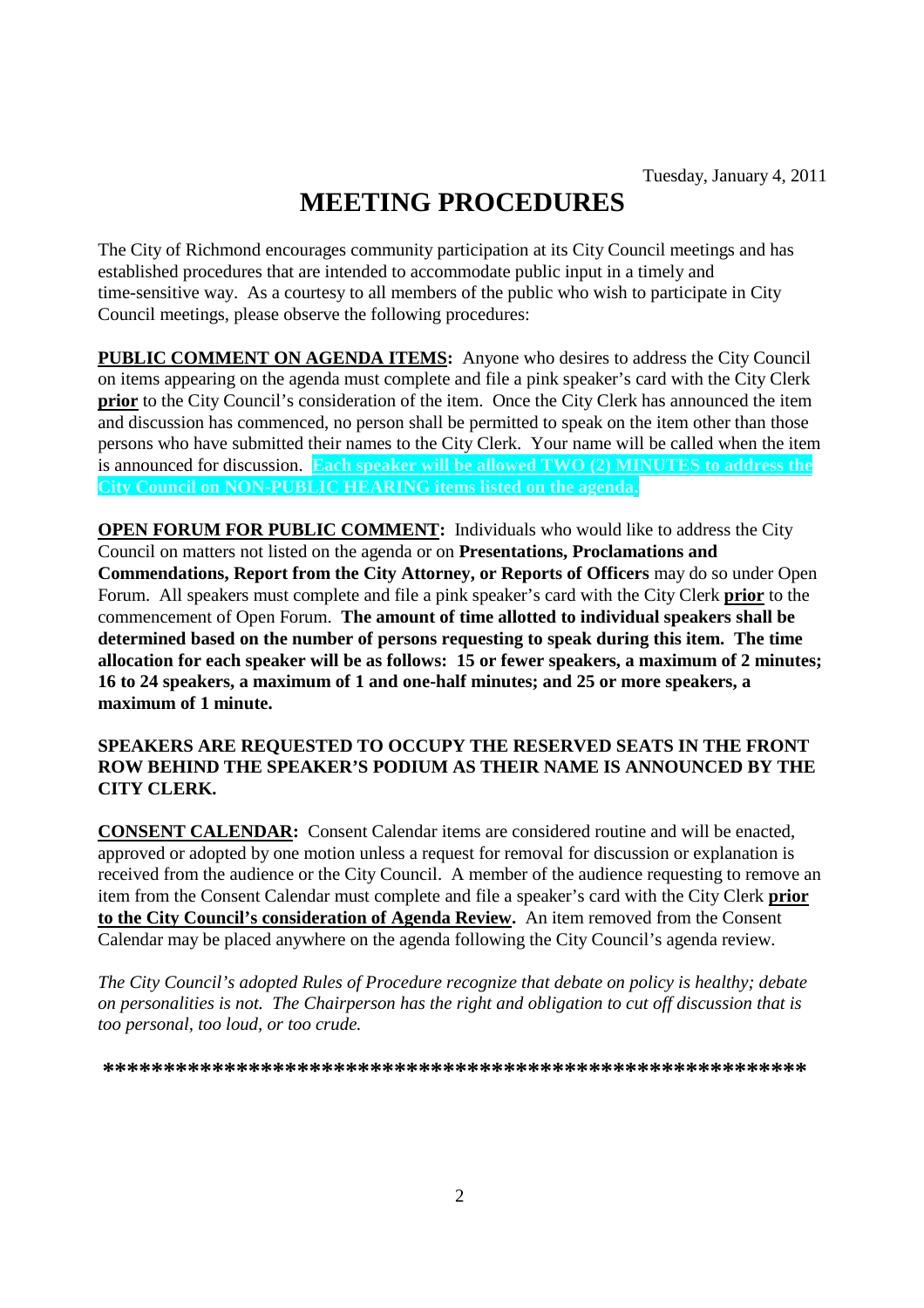# **MEETING PROCEDURES**

The City of Richmond encourages community participation at its City Council meetings and has established procedures that are intended to accommodate public input in a timely and time-sensitive way. As a courtesy to all members of the public who wish to participate in City Council meetings, please observe the following procedures:

**PUBLIC COMMENT ON AGENDA ITEMS:** Anyone who desires to address the City Council on items appearing on the agenda must complete and file a pink speaker's card with the City Clerk **prior** to the City Council's consideration of the item. Once the City Clerk has announced the item and discussion has commenced, no person shall be permitted to speak on the item other than those persons who have submitted their names to the City Clerk. Your name will be called when the item is announced for discussion. **Each speaker will be allowed TWO (2) MINUTES to address the City Council on NON-PUBLIC HEARING items listed on the agenda.**

**OPEN FORUM FOR PUBLIC COMMENT:** Individuals who would like to address the City Council on matters not listed on the agenda or on **Presentations, Proclamations and Commendations, Report from the City Attorney, or Reports of Officers** may do so under Open Forum. All speakers must complete and file a pink speaker's card with the City Clerk **prior** to the commencement of Open Forum. **The amount of time allotted to individual speakers shall be determined based on the number of persons requesting to speak during this item. The time allocation for each speaker will be as follows: 15 or fewer speakers, a maximum of 2 minutes; 16 to 24 speakers, a maximum of 1 and one-half minutes; and 25 or more speakers, a maximum of 1 minute.**

#### **SPEAKERS ARE REQUESTED TO OCCUPY THE RESERVED SEATS IN THE FRONT ROW BEHIND THE SPEAKER'S PODIUM AS THEIR NAME IS ANNOUNCED BY THE CITY CLERK.**

**CONSENT CALENDAR:** Consent Calendar items are considered routine and will be enacted, approved or adopted by one motion unless a request for removal for discussion or explanation is received from the audience or the City Council. A member of the audience requesting to remove an item from the Consent Calendar must complete and file a speaker's card with the City Clerk **prior to the City Council's consideration of Agenda Review.** An item removed from the Consent Calendar may be placed anywhere on the agenda following the City Council's agenda review.

*The City Council's adopted Rules of Procedure recognize that debate on policy is healthy; debate on personalities is not. The Chairperson has the right and obligation to cut off discussion that is too personal, too loud, or too crude.*

**\*\*\*\*\*\*\*\*\*\*\*\*\*\*\*\*\*\*\*\*\*\*\*\*\*\*\*\*\*\*\*\*\*\*\*\*\*\*\*\*\*\*\*\*\*\*\*\*\*\*\*\*\*\*\*\*\*\***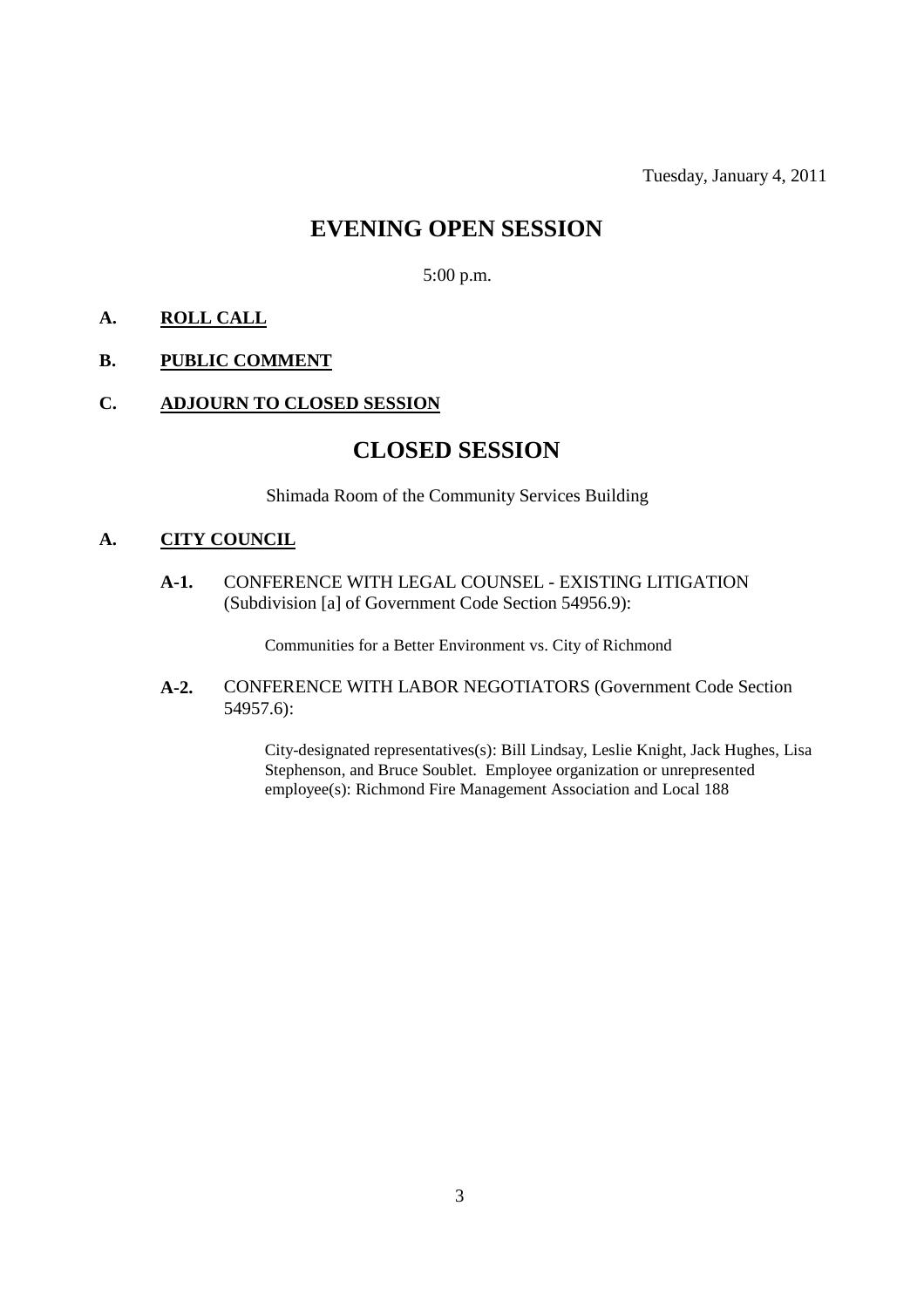Tuesday, January 4, 2011

### **EVENING OPEN SESSION**

5:00 p.m.

### **A. ROLL CALL**

#### **B. PUBLIC COMMENT**

#### **C. ADJOURN TO CLOSED SESSION**

### **CLOSED SESSION**

Shimada Room of the Community Services Building

#### **A. CITY COUNCIL**

**A-1.** CONFERENCE WITH LEGAL COUNSEL - EXISTING LITIGATION (Subdivision [a] of Government Code Section 54956.9):

Communities for a Better Environment vs. City of Richmond

**A-2.** CONFERENCE WITH LABOR NEGOTIATORS (Government Code Section 54957.6):

> City-designated representatives(s): Bill Lindsay, Leslie Knight, Jack Hughes, Lisa Stephenson, and Bruce Soublet. Employee organization or unrepresented employee(s): Richmond Fire Management Association and Local 188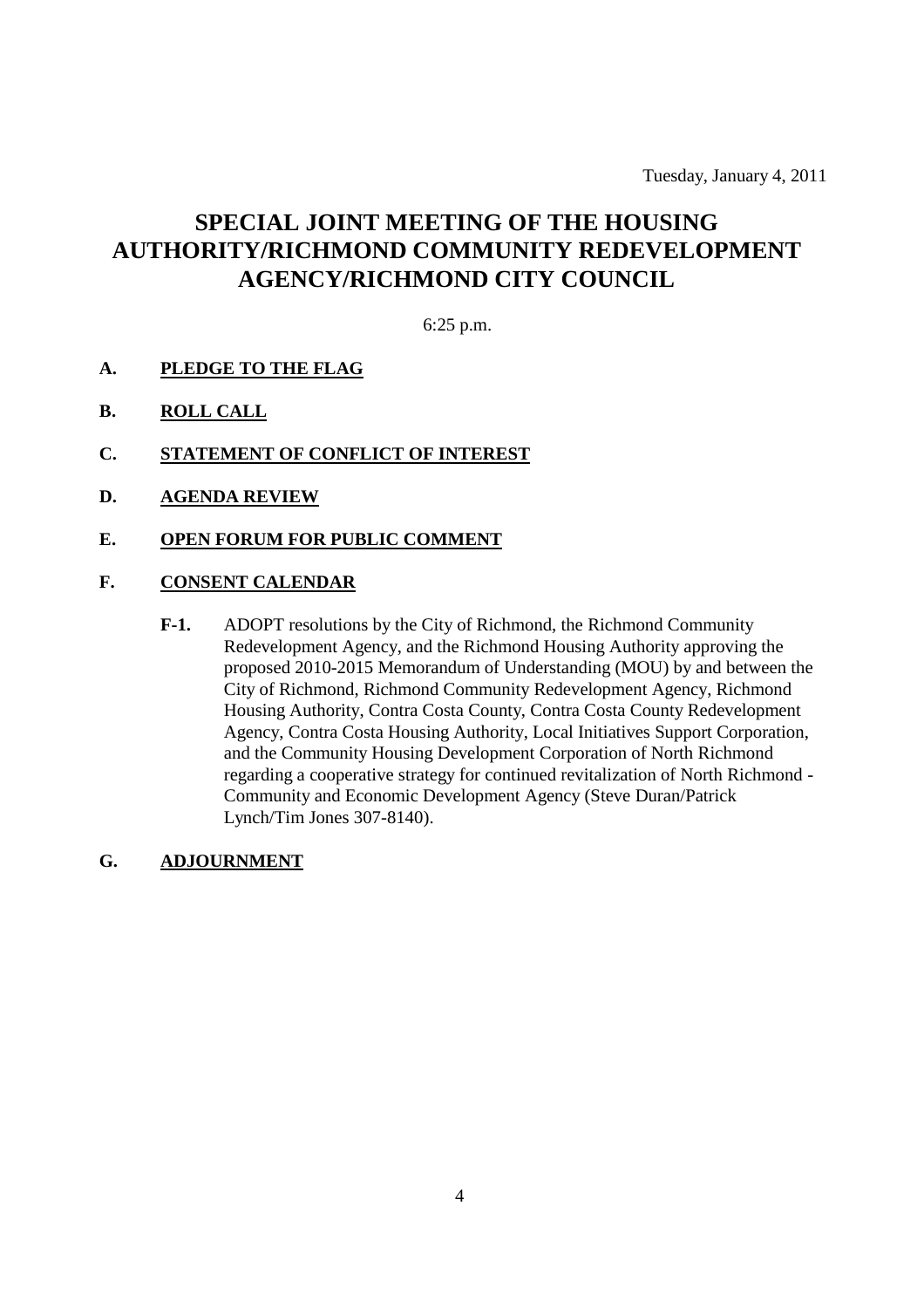Tuesday, January 4, 2011

# **SPECIAL JOINT MEETING OF THE HOUSING AUTHORITY/RICHMOND COMMUNITY REDEVELOPMENT AGENCY/RICHMOND CITY COUNCIL**

6:25 p.m.

- **A. PLEDGE TO THE FLAG**
- **B. ROLL CALL**
- **C. STATEMENT OF CONFLICT OF INTEREST**
- **D. AGENDA REVIEW**
- **E. OPEN FORUM FOR PUBLIC COMMENT**

#### **F. CONSENT CALENDAR**

- **F-1.** ADOPT resolutions by the City of Richmond, the Richmond Community Redevelopment Agency, and the Richmond Housing Authority approving the proposed 2010-2015 Memorandum of Understanding (MOU) by and between the City of Richmond, Richmond Community Redevelopment Agency, Richmond Housing Authority, Contra Costa County, Contra Costa County Redevelopment Agency, Contra Costa Housing Authority, Local Initiatives Support Corporation, and the Community Housing Development Corporation of North Richmond regarding a cooperative strategy for continued revitalization of North Richmond - Community and Economic Development Agency (Steve Duran/Patrick Lynch/Tim Jones 307-8140).
- **G. ADJOURNMENT**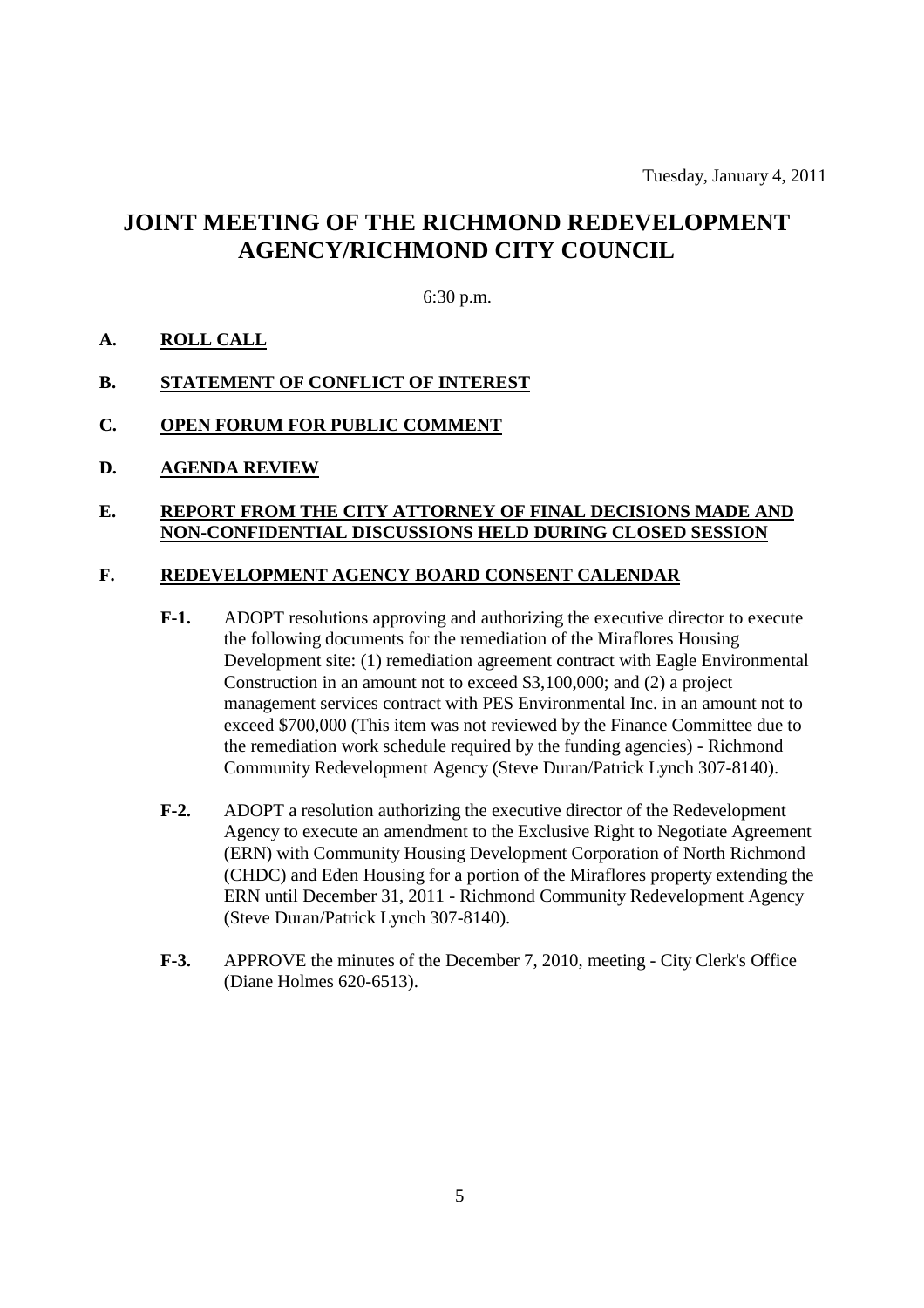## **JOINT MEETING OF THE RICHMOND REDEVELOPMENT AGENCY/RICHMOND CITY COUNCIL**

#### 6:30 p.m.

#### **A. ROLL CALL**

#### **B. STATEMENT OF CONFLICT OF INTEREST**

#### **C. OPEN FORUM FOR PUBLIC COMMENT**

**D. AGENDA REVIEW**

#### **E. REPORT FROM THE CITY ATTORNEY OF FINAL DECISIONS MADE AND NON-CONFIDENTIAL DISCUSSIONS HELD DURING CLOSED SESSION**

#### **F. REDEVELOPMENT AGENCY BOARD CONSENT CALENDAR**

- **F-1.** ADOPT resolutions approving and authorizing the executive director to execute the following documents for the remediation of the Miraflores Housing Development site: (1) remediation agreement contract with Eagle Environmental Construction in an amount not to exceed \$3,100,000; and (2) a project management services contract with PES Environmental Inc. in an amount not to exceed \$700,000 (This item was not reviewed by the Finance Committee due to the remediation work schedule required by the funding agencies) - Richmond Community Redevelopment Agency (Steve Duran/Patrick Lynch 307-8140).
- **F-2.** ADOPT a resolution authorizing the executive director of the Redevelopment Agency to execute an amendment to the Exclusive Right to Negotiate Agreement (ERN) with Community Housing Development Corporation of North Richmond (CHDC) and Eden Housing for a portion of the Miraflores property extending the ERN until December 31, 2011 - Richmond Community Redevelopment Agency (Steve Duran/Patrick Lynch 307-8140).
- **F-3.** APPROVE the minutes of the December 7, 2010, meeting City Clerk's Office (Diane Holmes 620-6513).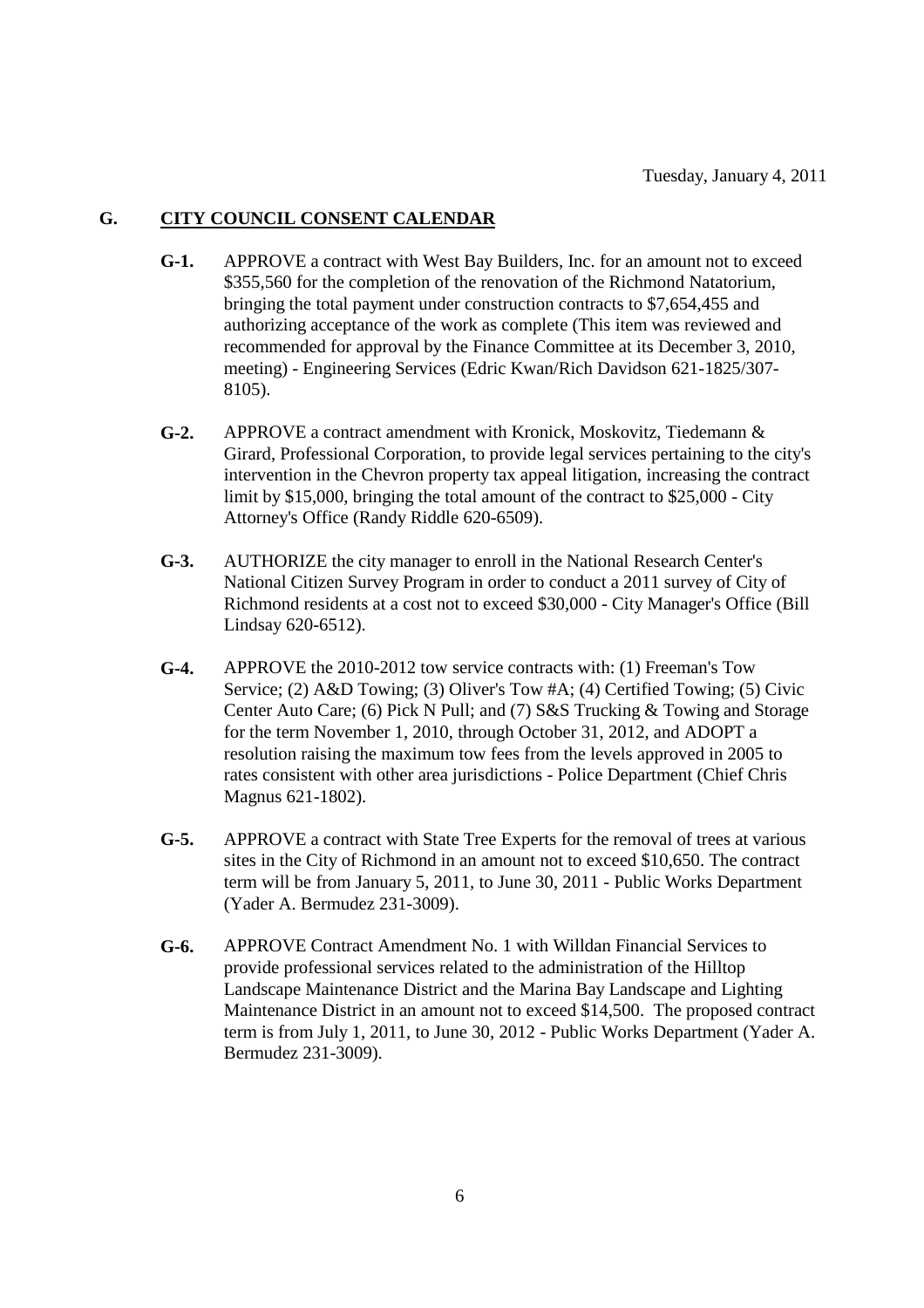#### **G. CITY COUNCIL CONSENT CALENDAR**

- **G-1.** APPROVE a contract with West Bay Builders, Inc. for an amount not to exceed \$355,560 for the completion of the renovation of the Richmond Natatorium, bringing the total payment under construction contracts to \$7,654,455 and authorizing acceptance of the work as complete (This item was reviewed and recommended for approval by the Finance Committee at its December 3, 2010, meeting) - Engineering Services (Edric Kwan/Rich Davidson 621-1825/307- 8105).
- **G-2.** APPROVE a contract amendment with Kronick, Moskovitz, Tiedemann & Girard, Professional Corporation, to provide legal services pertaining to the city's intervention in the Chevron property tax appeal litigation, increasing the contract limit by \$15,000, bringing the total amount of the contract to \$25,000 - City Attorney's Office (Randy Riddle 620-6509).
- **G-3.** AUTHORIZE the city manager to enroll in the National Research Center's National Citizen Survey Program in order to conduct a 2011 survey of City of Richmond residents at a cost not to exceed \$30,000 - City Manager's Office (Bill Lindsay 620-6512).
- **G-4.** APPROVE the 2010-2012 tow service contracts with: (1) Freeman's Tow Service; (2) A&D Towing; (3) Oliver's Tow #A; (4) Certified Towing; (5) Civic Center Auto Care; (6) Pick N Pull; and (7) S&S Trucking & Towing and Storage for the term November 1, 2010, through October 31, 2012, and ADOPT a resolution raising the maximum tow fees from the levels approved in 2005 to rates consistent with other area jurisdictions - Police Department (Chief Chris Magnus 621-1802).
- **G-5.** APPROVE a contract with State Tree Experts for the removal of trees at various sites in the City of Richmond in an amount not to exceed \$10,650. The contract term will be from January 5, 2011, to June 30, 2011 - Public Works Department (Yader A. Bermudez 231-3009).
- **G-6.** APPROVE Contract Amendment No. 1 with Willdan Financial Services to provide professional services related to the administration of the Hilltop Landscape Maintenance District and the Marina Bay Landscape and Lighting Maintenance District in an amount not to exceed \$14,500. The proposed contract term is from July 1, 2011, to June 30, 2012 - Public Works Department (Yader A. Bermudez 231-3009).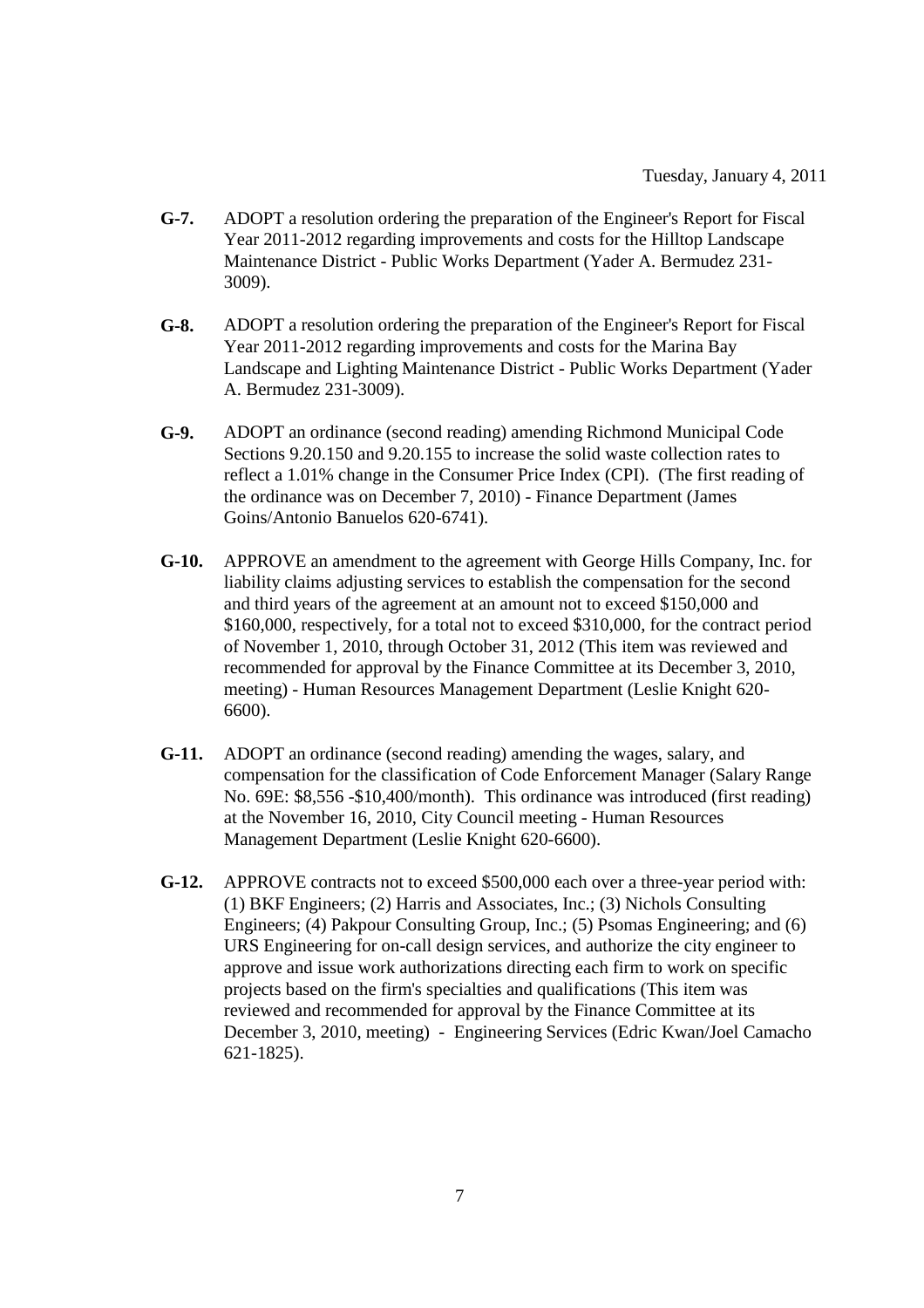- **G-7.** ADOPT a resolution ordering the preparation of the Engineer's Report for Fiscal Year 2011-2012 regarding improvements and costs for the Hilltop Landscape Maintenance District - Public Works Department (Yader A. Bermudez 231- 3009).
- **G-8.** ADOPT a resolution ordering the preparation of the Engineer's Report for Fiscal Year 2011-2012 regarding improvements and costs for the Marina Bay Landscape and Lighting Maintenance District - Public Works Department (Yader A. Bermudez 231-3009).
- **G-9.** ADOPT an ordinance (second reading) amending Richmond Municipal Code Sections 9.20.150 and 9.20.155 to increase the solid waste collection rates to reflect a 1.01% change in the Consumer Price Index (CPI). (The first reading of the ordinance was on December 7, 2010) - Finance Department (James Goins/Antonio Banuelos 620-6741).
- **G-10.** APPROVE an amendment to the agreement with George Hills Company, Inc. for liability claims adjusting services to establish the compensation for the second and third years of the agreement at an amount not to exceed \$150,000 and \$160,000, respectively, for a total not to exceed \$310,000, for the contract period of November 1, 2010, through October 31, 2012 (This item was reviewed and recommended for approval by the Finance Committee at its December 3, 2010, meeting) - Human Resources Management Department (Leslie Knight 620- 6600).
- **G-11.** ADOPT an ordinance (second reading) amending the wages, salary, and compensation for the classification of Code Enforcement Manager (Salary Range No. 69E: \$8,556 -\$10,400/month). This ordinance was introduced (first reading) at the November 16, 2010, City Council meeting - Human Resources Management Department (Leslie Knight 620-6600).
- **G-12.** APPROVE contracts not to exceed \$500,000 each over a three-year period with: (1) BKF Engineers; (2) Harris and Associates, Inc.; (3) Nichols Consulting Engineers; (4) Pakpour Consulting Group, Inc.; (5) Psomas Engineering; and (6) URS Engineering for on-call design services, and authorize the city engineer to approve and issue work authorizations directing each firm to work on specific projects based on the firm's specialties and qualifications (This item was reviewed and recommended for approval by the Finance Committee at its December 3, 2010, meeting) - Engineering Services (Edric Kwan/Joel Camacho 621-1825).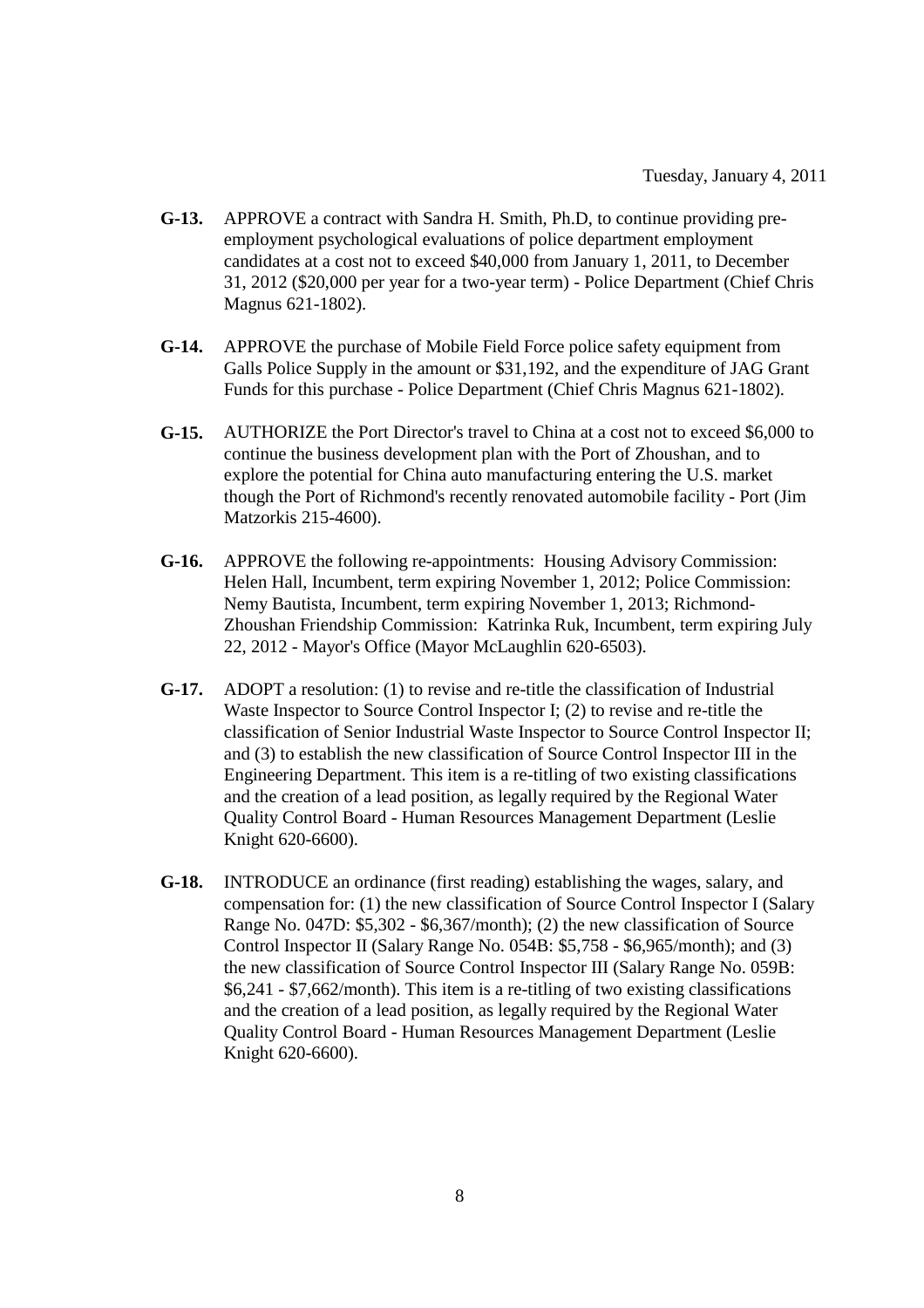- **G-13.** APPROVE a contract with Sandra H. Smith, Ph.D, to continue providing preemployment psychological evaluations of police department employment candidates at a cost not to exceed \$40,000 from January 1, 2011, to December 31, 2012 (\$20,000 per year for a two-year term) - Police Department (Chief Chris Magnus 621-1802).
- **G-14.** APPROVE the purchase of Mobile Field Force police safety equipment from Galls Police Supply in the amount or \$31,192, and the expenditure of JAG Grant Funds for this purchase - Police Department (Chief Chris Magnus 621-1802).
- **G-15.** AUTHORIZE the Port Director's travel to China at a cost not to exceed \$6,000 to continue the business development plan with the Port of Zhoushan, and to explore the potential for China auto manufacturing entering the U.S. market though the Port of Richmond's recently renovated automobile facility - Port (Jim Matzorkis 215-4600).
- **G-16.** APPROVE the following re-appointments: Housing Advisory Commission: Helen Hall, Incumbent, term expiring November 1, 2012; Police Commission: Nemy Bautista, Incumbent, term expiring November 1, 2013; Richmond-Zhoushan Friendship Commission: Katrinka Ruk, Incumbent, term expiring July 22, 2012 - Mayor's Office (Mayor McLaughlin 620-6503).
- **G-17.** ADOPT a resolution: (1) to revise and re-title the classification of Industrial Waste Inspector to Source Control Inspector I; (2) to revise and re-title the classification of Senior Industrial Waste Inspector to Source Control Inspector II; and (3) to establish the new classification of Source Control Inspector III in the Engineering Department. This item is a re-titling of two existing classifications and the creation of a lead position, as legally required by the Regional Water Quality Control Board - Human Resources Management Department (Leslie Knight 620-6600).
- **G-18.** INTRODUCE an ordinance (first reading) establishing the wages, salary, and compensation for: (1) the new classification of Source Control Inspector I (Salary Range No. 047D: \$5,302 - \$6,367/month); (2) the new classification of Source Control Inspector II (Salary Range No. 054B: \$5,758 - \$6,965/month); and (3) the new classification of Source Control Inspector III (Salary Range No. 059B: \$6,241 - \$7,662/month). This item is a re-titling of two existing classifications and the creation of a lead position, as legally required by the Regional Water Quality Control Board - Human Resources Management Department (Leslie Knight 620-6600).